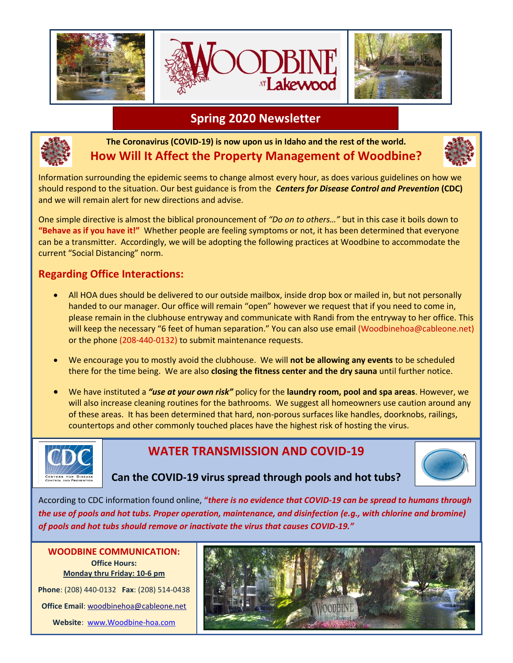

# **Spring 2020 Newsletter**



## **The Coronavirus (COVID-19) is now upon us in Idaho and the rest of the world. How Will It Affect the Property Management of Woodbine?**



Information surrounding the epidemic seems to change almost every hour, as does various guidelines on how we should respond to the situation. Our best guidance is from the *Centers for Disease Control and Prevention* **(CDC)** and we will remain alert for new directions and advise.

One simple directive is almost the biblical pronouncement of *"Do on to others…"* but in this case it boils down to **"Behave as if you have it!"** Whether people are feeling symptoms or not, it has been determined that everyone can be a transmitter. Accordingly, we will be adopting the following practices at Woodbine to accommodate the current "Social Distancing" norm.

#### **Regarding Office Interactions:**

- All HOA dues should be delivered to our outside mailbox, inside drop box or mailed in, but not personally handed to our manager. Our office will remain "open" however we request that if you need to come in, please remain in the clubhouse entryway and communicate with Randi from the entryway to her office. This will keep the necessary "6 feet of human separation." You can also use email (Woodbinehoa@cableone.net) or the phone (208-440-0132) to submit maintenance requests.
- We encourage you to mostly avoid the clubhouse. We will **not be allowing any events** to be scheduled there for the time being. We are also **closing the fitness center and the dry sauna** until further notice.
- We have instituted a *"use at your own risk"* policy for the **laundry room, pool and spa areas**. However, we will also increase cleaning routines for the bathrooms. We suggest all homeowners use caution around any of these areas. It has been determined that hard, non-porous surfaces like handles, doorknobs, railings, countertops and other commonly touched places have the highest risk of hosting the virus.



## **WATER TRANSMISSION AND COVID-19**



## **Can the COVID-19 virus spread through pools and hot tubs?**

According to CDC information found online, **"***there is no evidence that COVID-19 can be spread to humans through the use of pools and hot tubs. Proper operation, maintenance, and disinfection (e.g., with chlorine and bromine) of pools and hot tubs should remove or inactivate the virus that causes COVID-19."*

**Office Hours: Monday thru Friday: 10-6 pm**

**Phone**: (208) 440-0132 **Fax**: (208) 514-0438 **Office Email**[: woodbinehoa@cableone.net](mailto:woodbinehoa@cableone.net) **Website**: [www.Woodbine-hoa.com](http://www.woodbine-hoa.com/)